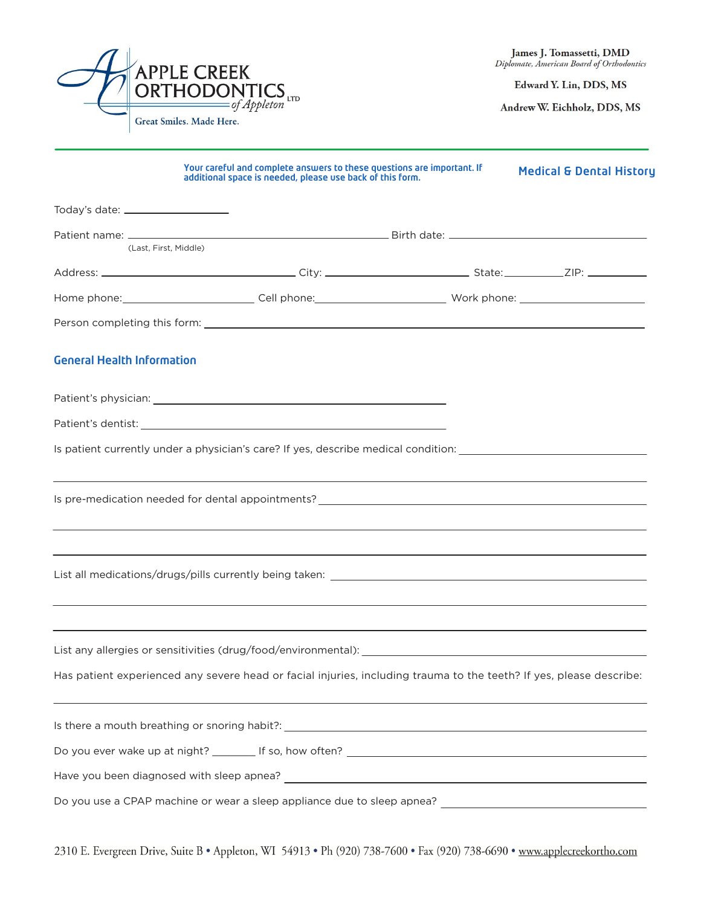

Edward Y. Lin, DDS, MS

Andrew W. Eichholz, DDS, MS

|                                        | Your careful and complete answers to these questions are important. If<br>additional space is needed, please use back of this form.                                                                     | <b>Medical &amp; Dental History</b> |
|----------------------------------------|---------------------------------------------------------------------------------------------------------------------------------------------------------------------------------------------------------|-------------------------------------|
| Today's date: ________________________ |                                                                                                                                                                                                         |                                     |
|                                        |                                                                                                                                                                                                         |                                     |
|                                        | (Last, First, Middle)                                                                                                                                                                                   |                                     |
|                                        |                                                                                                                                                                                                         |                                     |
|                                        | Home phone:_____________________________Cell phone:______________________________ Work phone: ______________________                                                                                    |                                     |
|                                        |                                                                                                                                                                                                         |                                     |
| <b>General Health Information</b>      |                                                                                                                                                                                                         |                                     |
|                                        |                                                                                                                                                                                                         |                                     |
|                                        |                                                                                                                                                                                                         |                                     |
|                                        | Is patient currently under a physician's care? If yes, describe medical condition: ___________________________                                                                                          |                                     |
|                                        | ,我们也不会有什么。""我们的人,我们也不会有什么?""我们的人,我们也不会有什么?""我们的人,我们也不会有什么?""我们的人,我们也不会有什么?""我们的人                                                                                                                        |                                     |
|                                        |                                                                                                                                                                                                         |                                     |
|                                        | ,我们也不能在这里的时候,我们也不能在这里的时候,我们也不能会在这里的时候,我们也不能会在这里的时候,我们也不能会在这里的时候,我们也不能会在这里的时候,我们也<br>Has patient experienced any severe head or facial injuries, including trauma to the teeth? If yes, please describe: |                                     |
|                                        |                                                                                                                                                                                                         |                                     |
|                                        |                                                                                                                                                                                                         |                                     |
|                                        |                                                                                                                                                                                                         |                                     |
|                                        |                                                                                                                                                                                                         |                                     |

2310 E. Evergreen Drive, Suite B · Appleton, WI 54913 · Ph (920) 738-7600 · Fax (920) 738-6690 · www.applecreekortho.com